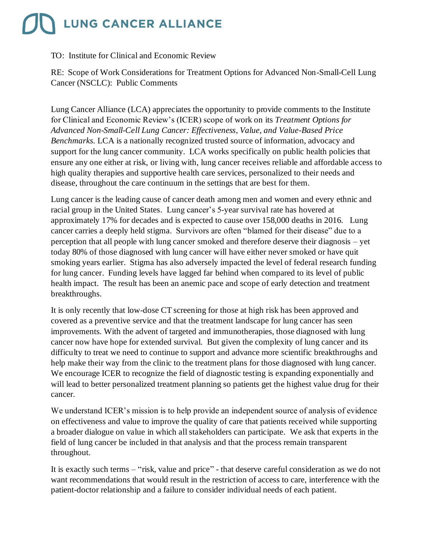## **LUNG CANCER ALLIANCE**

## TO: Institute for Clinical and Economic Review

RE: Scope of Work Considerations for Treatment Options for Advanced Non-Small-Cell Lung Cancer (NSCLC): Public Comments

Lung Cancer Alliance (LCA) appreciates the opportunity to provide comments to the Institute for Clinical and Economic Review's (ICER) scope of work on its *Treatment Options for Advanced Non-Small-Cell Lung Cancer: Effectiveness, Value, and Value-Based Price Benchmarks.* LCA is a nationally recognized trusted source of information, advocacy and support for the lung cancer community. LCA works specifically on public health policies that ensure any one either at risk, or living with, lung cancer receives reliable and affordable access to high quality therapies and supportive health care services, personalized to their needs and disease, throughout the care continuum in the settings that are best for them.

Lung cancer is the leading cause of cancer death among men and women and every ethnic and racial group in the United States. Lung cancer's 5-year survival rate has hovered at approximately 17% for decades and is expected to cause over 158,000 deaths in 2016. Lung cancer carries a deeply held stigma. Survivors are often "blamed for their disease" due to a perception that all people with lung cancer smoked and therefore deserve their diagnosis – yet today 80% of those diagnosed with lung cancer will have either never smoked or have quit smoking years earlier. Stigma has also adversely impacted the level of federal research funding for lung cancer. Funding levels have lagged far behind when compared to its level of public health impact. The result has been an anemic pace and scope of early detection and treatment breakthroughs.

It is only recently that low-dose CT screening for those at high risk has been approved and covered as a preventive service and that the treatment landscape for lung cancer has seen improvements. With the advent of targeted and immunotherapies, those diagnosed with lung cancer now have hope for extended survival. But given the complexity of lung cancer and its difficulty to treat we need to continue to support and advance more scientific breakthroughs and help make their way from the clinic to the treatment plans for those diagnosed with lung cancer. We encourage ICER to recognize the field of diagnostic testing is expanding exponentially and will lead to better personalized treatment planning so patients get the highest value drug for their cancer.

We understand ICER's mission is to help provide an independent source of analysis of evidence on effectiveness and value to improve the quality of care that patients received while supporting a broader dialogue on value in which all stakeholders can participate. We ask that experts in the field of lung cancer be included in that analysis and that the process remain transparent throughout.

It is exactly such terms – "risk, value and price" - that deserve careful consideration as we do not want recommendations that would result in the restriction of access to care, interference with the patient-doctor relationship and a failure to consider individual needs of each patient.